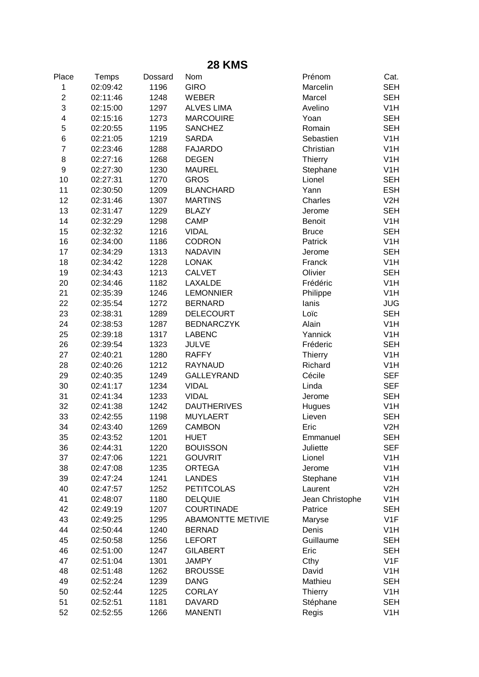| <b>28 KMS</b>    |          |         |                          |                 |                                |  |  |  |
|------------------|----------|---------|--------------------------|-----------------|--------------------------------|--|--|--|
| Place            | Temps    | Dossard | Nom                      | Prénom          | Cat.                           |  |  |  |
| 1                | 02:09:42 | 1196    | <b>GIRO</b>              | Marcelin        | <b>SEH</b>                     |  |  |  |
| $\overline{2}$   | 02:11:46 | 1248    | <b>WEBER</b>             | Marcel          | <b>SEH</b>                     |  |  |  |
| 3                | 02:15:00 | 1297    | <b>ALVES LIMA</b>        | Avelino         | V <sub>1</sub> H               |  |  |  |
| 4                | 02:15:16 | 1273    | <b>MARCOUIRE</b>         | Yoan            | <b>SEH</b>                     |  |  |  |
| 5                | 02:20:55 | 1195    | <b>SANCHEZ</b>           | Romain          | <b>SEH</b>                     |  |  |  |
| 6                | 02:21:05 | 1219    | <b>SARDA</b>             | Sebastien       | V <sub>1</sub> H               |  |  |  |
| $\overline{7}$   | 02:23:46 | 1288    | <b>FAJARDO</b>           | Christian       | V <sub>1</sub> H               |  |  |  |
| 8                | 02:27:16 | 1268    | <b>DEGEN</b>             | Thierry         | V <sub>1</sub> H               |  |  |  |
| $\boldsymbol{9}$ | 02:27:30 | 1230    | <b>MAUREL</b>            | Stephane        | V <sub>1</sub> H               |  |  |  |
| 10               | 02:27:31 | 1270    | <b>GROS</b>              | Lionel          | <b>SEH</b>                     |  |  |  |
| 11               | 02:30:50 | 1209    | <b>BLANCHARD</b>         | Yann            | <b>ESH</b>                     |  |  |  |
| 12               | 02:31:46 | 1307    | <b>MARTINS</b>           | Charles         | V2H                            |  |  |  |
| 13               | 02:31:47 | 1229    | <b>BLAZY</b>             | Jerome          | <b>SEH</b>                     |  |  |  |
| 14               | 02:32:29 | 1298    | <b>CAMP</b>              | Benoit          | V <sub>1</sub> H               |  |  |  |
| 15               | 02:32:32 | 1216    | <b>VIDAL</b>             | <b>Bruce</b>    | <b>SEH</b>                     |  |  |  |
| 16               | 02:34:00 | 1186    | <b>CODRON</b>            | Patrick         | V <sub>1</sub> H               |  |  |  |
| 17               | 02:34:29 | 1313    | <b>NADAVIN</b>           | Jerome          | <b>SEH</b>                     |  |  |  |
| 18               | 02:34:42 | 1228    | <b>LONAK</b>             | Franck          | V <sub>1</sub> H               |  |  |  |
| 19               | 02:34:43 | 1213    | <b>CALVET</b>            | Olivier         | <b>SEH</b>                     |  |  |  |
| 20               | 02:34:46 | 1182    | LAXALDE                  | Frédéric        | V <sub>1</sub> H               |  |  |  |
| 21               | 02:35:39 | 1246    | <b>LEMONNIER</b>         | Philippe        | V <sub>1</sub> H               |  |  |  |
| 22               | 02:35:54 | 1272    | <b>BERNARD</b>           | lanis           | <b>JUG</b>                     |  |  |  |
| 23               | 02:38:31 | 1289    | <b>DELECOURT</b>         | Loïc            | <b>SEH</b>                     |  |  |  |
| 24               | 02:38:53 | 1287    | <b>BEDNARCZYK</b>        | Alain           | V <sub>1</sub> H               |  |  |  |
| 25               | 02:39:18 | 1317    | <b>LABENC</b>            | Yannick         | V <sub>1</sub> H               |  |  |  |
| 26               | 02:39:54 | 1323    | <b>JULVE</b>             | Fréderic        | <b>SEH</b>                     |  |  |  |
| 27               | 02:40:21 | 1280    | <b>RAFFY</b>             | <b>Thierry</b>  | V <sub>1</sub> H               |  |  |  |
| 28               | 02:40:26 | 1212    | <b>RAYNAUD</b>           | Richard         | V <sub>1</sub> H               |  |  |  |
| 29               | 02:40:35 | 1249    | GALLEYRAND               | Cécile          | <b>SEF</b>                     |  |  |  |
| 30               | 02:41:17 | 1234    | <b>VIDAL</b>             | Linda           | <b>SEF</b>                     |  |  |  |
| 31               | 02:41:34 | 1233    | <b>VIDAL</b>             | Jerome          | <b>SEH</b>                     |  |  |  |
| 32               | 02:41:38 | 1242    | <b>DAUTHERIVES</b>       | Hugues          | V <sub>1</sub> H               |  |  |  |
| 33               | 02:42:55 | 1198    | <b>MUYLAERT</b>          | Lieven          | <b>SEH</b>                     |  |  |  |
| 34               | 02:43:40 | 1269    | <b>CAMBON</b>            | Eric            | V2H                            |  |  |  |
| 35               | 02:43:52 | 1201    | <b>HUET</b>              | Emmanuel        | <b>SEH</b>                     |  |  |  |
| 36               | 02:44:31 | 1220    | <b>BOUISSON</b>          | Juliette        | <b>SEF</b>                     |  |  |  |
| 37               | 02:47:06 | 1221    | <b>GOUVRIT</b>           | Lionel          | V <sub>1</sub> H               |  |  |  |
| 38               | 02:47:08 | 1235    | <b>ORTEGA</b>            | Jerome          | V <sub>1</sub> H               |  |  |  |
| 39               | 02:47:24 | 1241    | <b>LANDES</b>            | Stephane        | V <sub>1</sub> H               |  |  |  |
| 40               | 02:47:57 | 1252    | <b>PETITCOLAS</b>        | Laurent         | V2H                            |  |  |  |
| 41               | 02:48:07 | 1180    | <b>DELQUIE</b>           | Jean Christophe | V <sub>1</sub> H               |  |  |  |
| 42               | 02:49:19 | 1207    | <b>COURTINADE</b>        | Patrice         | <b>SEH</b>                     |  |  |  |
| 43               | 02:49:25 | 1295    | <b>ABAMONTTE METIVIE</b> | Maryse          | V1F                            |  |  |  |
| 44               | 02:50:44 | 1240    | <b>BERNAD</b>            | Denis           | V <sub>1</sub> H               |  |  |  |
| 45               | 02:50:58 | 1256    | <b>LEFORT</b>            | Guillaume       | <b>SEH</b>                     |  |  |  |
| 46               | 02:51:00 | 1247    | <b>GILABERT</b>          | Eric            | <b>SEH</b>                     |  |  |  |
| 47               | 02:51:04 | 1301    | <b>JAMPY</b>             | Cthy            | V1F                            |  |  |  |
| 48               | 02:51:48 | 1262    | <b>BROUSSE</b>           | David           | V <sub>1</sub> H               |  |  |  |
| 49               | 02:52:24 | 1239    | <b>DANG</b>              | Mathieu         | <b>SEH</b>                     |  |  |  |
| 50<br>51         | 02:52:44 | 1225    | <b>CORLAY</b>            | <b>Thierry</b>  | V <sub>1</sub> H<br><b>SEH</b> |  |  |  |
|                  | 02:52:51 | 1181    | <b>DAVARD</b>            | Stéphane        | V <sub>1</sub> H               |  |  |  |
| 52               | 02:52:55 | 1266    | <b>MANENTI</b>           | Regis           |                                |  |  |  |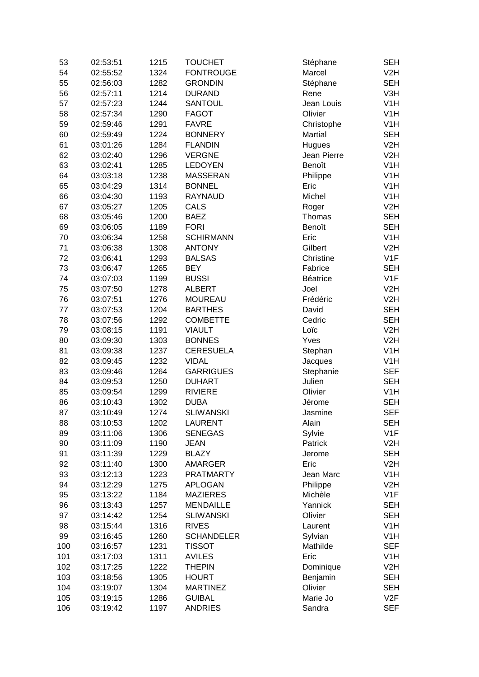| 53  | 02:53:51 | 1215 | <b>TOUCHET</b>    | Stéphane    | <b>SEH</b>       |
|-----|----------|------|-------------------|-------------|------------------|
| 54  | 02:55:52 | 1324 | <b>FONTROUGE</b>  | Marcel      | V2H              |
| 55  | 02:56:03 | 1282 | <b>GRONDIN</b>    | Stéphane    | <b>SEH</b>       |
| 56  | 02:57:11 | 1214 | <b>DURAND</b>     | Rene        | V3H              |
| 57  | 02:57:23 | 1244 | <b>SANTOUL</b>    | Jean Louis  | V <sub>1</sub> H |
| 58  | 02:57:34 | 1290 | <b>FAGOT</b>      | Olivier     | V <sub>1</sub> H |
| 59  | 02:59:46 | 1291 | <b>FAVRE</b>      | Christophe  | V <sub>1</sub> H |
| 60  | 02:59:49 | 1224 | <b>BONNERY</b>    | Martial     | <b>SEH</b>       |
| 61  | 03:01:26 | 1284 | <b>FLANDIN</b>    | Hugues      | V2H              |
| 62  | 03:02:40 | 1296 | <b>VERGNE</b>     | Jean Pierre | V2H              |
| 63  | 03:02:41 | 1285 | <b>LEDOYEN</b>    | Benoît      | V <sub>1</sub> H |
| 64  | 03:03:18 | 1238 | <b>MASSERAN</b>   | Philippe    | V <sub>1</sub> H |
| 65  | 03:04:29 | 1314 | <b>BONNEL</b>     | Eric        | V <sub>1</sub> H |
| 66  | 03:04:30 | 1193 | <b>RAYNAUD</b>    | Michel      | V <sub>1</sub> H |
| 67  | 03:05:27 | 1205 | <b>CALS</b>       | Roger       | V2H              |
| 68  | 03:05:46 | 1200 | <b>BAEZ</b>       | Thomas      | <b>SEH</b>       |
| 69  | 03:06:05 | 1189 | <b>FORI</b>       | Benoît      | <b>SEH</b>       |
| 70  | 03:06:34 | 1258 | <b>SCHIRMANN</b>  | Eric        | V <sub>1</sub> H |
| 71  | 03:06:38 | 1308 | <b>ANTONY</b>     | Gilbert     | V2H              |
| 72  | 03:06:41 | 1293 |                   | Christine   | V1F              |
|     |          |      | <b>BALSAS</b>     |             |                  |
| 73  | 03:06:47 | 1265 | <b>BEY</b>        | Fabrice     | <b>SEH</b>       |
| 74  | 03:07:03 | 1199 | <b>BUSSI</b>      | Béatrice    | V <sub>1</sub> F |
| 75  | 03:07:50 | 1278 | <b>ALBERT</b>     | Joel        | V2H              |
| 76  | 03:07:51 | 1276 | <b>MOUREAU</b>    | Frédéric    | V2H              |
| 77  | 03:07:53 | 1204 | <b>BARTHES</b>    | David       | <b>SEH</b>       |
| 78  | 03:07:56 | 1292 | <b>COMBETTE</b>   | Cedric      | <b>SEH</b>       |
| 79  | 03:08:15 | 1191 | <b>VIAULT</b>     | Loïc        | V2H              |
| 80  | 03:09:30 | 1303 | <b>BONNES</b>     | Yves        | V2H              |
| 81  | 03:09:38 | 1237 | <b>CERESUELA</b>  | Stephan     | V <sub>1</sub> H |
| 82  | 03:09:45 | 1232 | <b>VIDAL</b>      | Jacques     | V <sub>1</sub> H |
| 83  | 03:09:46 | 1264 | <b>GARRIGUES</b>  | Stephanie   | <b>SEF</b>       |
| 84  | 03:09:53 | 1250 | <b>DUHART</b>     | Julien      | <b>SEH</b>       |
| 85  | 03:09:54 | 1299 | <b>RIVIERE</b>    | Olivier     | V <sub>1</sub> H |
| 86  | 03:10:43 | 1302 | <b>DUBA</b>       | Jérome      | <b>SEH</b>       |
| 87  | 03:10:49 | 1274 | <b>SLIWANSKI</b>  | Jasmine     | <b>SEF</b>       |
| 88  | 03:10:53 | 1202 | <b>LAURENT</b>    | Alain       | <b>SEH</b>       |
| 89  | 03:11:06 | 1306 | <b>SENEGAS</b>    | Sylvie      | V1F              |
| 90  | 03:11:09 | 1190 | <b>JEAN</b>       | Patrick     | V2H              |
| 91  | 03:11:39 | 1229 | <b>BLAZY</b>      | Jerome      | <b>SEH</b>       |
| 92  | 03:11:40 | 1300 | <b>AMARGER</b>    | Eric        | V2H              |
| 93  | 03:12:13 | 1223 | <b>PRATMARTY</b>  | Jean Marc   | V <sub>1</sub> H |
| 94  | 03:12:29 | 1275 | <b>APLOGAN</b>    | Philippe    | V2H              |
| 95  | 03:13:22 | 1184 | <b>MAZIERES</b>   | Michèle     | V1F              |
| 96  | 03:13:43 | 1257 | <b>MENDAILLE</b>  | Yannick     | <b>SEH</b>       |
| 97  | 03:14:42 | 1254 | <b>SLIWANSKI</b>  | Olivier     | <b>SEH</b>       |
| 98  | 03:15:44 | 1316 | <b>RIVES</b>      | Laurent     | V <sub>1</sub> H |
| 99  | 03:16:45 | 1260 | <b>SCHANDELER</b> | Sylvian     | V <sub>1</sub> H |
| 100 | 03:16:57 | 1231 | <b>TISSOT</b>     | Mathilde    | <b>SEF</b>       |
| 101 | 03:17:03 | 1311 | <b>AVILES</b>     | Eric        | V <sub>1</sub> H |
| 102 | 03:17:25 | 1222 | <b>THEPIN</b>     | Dominique   | V2H              |
| 103 | 03:18:56 | 1305 | <b>HOURT</b>      | Benjamin    | <b>SEH</b>       |
| 104 | 03:19:07 | 1304 | <b>MARTINEZ</b>   | Olivier     | <b>SEH</b>       |
| 105 | 03:19:15 | 1286 | <b>GUIBAL</b>     | Marie Jo    | V2F              |
| 106 | 03:19:42 | 1197 | <b>ANDRIES</b>    | Sandra      | <b>SEF</b>       |
|     |          |      |                   |             |                  |